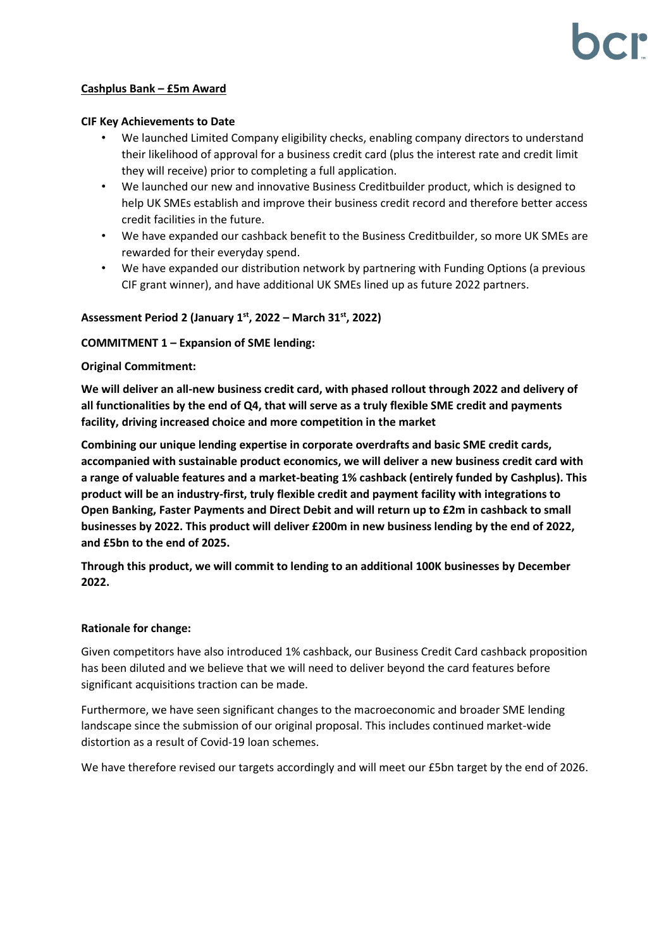## **Cashplus Bank – £5m Award**

#### **CIF Key Achievements to Date**

- We launched Limited Company eligibility checks, enabling company directors to understand their likelihood of approval for a business credit card (plus the interest rate and credit limit they will receive) prior to completing a full application.
- We launched our new and innovative Business Creditbuilder product, which is designed to help UK SMEs establish and improve their business credit record and therefore better access credit facilities in the future.
- We have expanded our cashback benefit to the Business Creditbuilder, so more UK SMEs are rewarded for their everyday spend.
- We have expanded our distribution network by partnering with Funding Options (a previous CIF grant winner), and have additional UK SMEs lined up as future 2022 partners.

## **Assessment Period 2 (January 1 st, 2022 – March 31st, 2022)**

#### **COMMITMENT 1 – Expansion of SME lending:**

#### **Original Commitment:**

**We will deliver an all-new business credit card, with phased rollout through 2022 and delivery of all functionalities by the end of Q4, that will serve as a truly flexible SME credit and payments facility, driving increased choice and more competition in the market** 

**Combining our unique lending expertise in corporate overdrafts and basic SME credit cards, accompanied with sustainable product economics, we will deliver a new business credit card with a range of valuable features and a market-beating 1% cashback (entirely funded by Cashplus). This product will be an industry-first, truly flexible credit and payment facility with integrations to Open Banking, Faster Payments and Direct Debit and will return up to £2m in cashback to small businesses by 2022. This product will deliver £200m in new business lending by the end of 2022, and £5bn to the end of 2025.** 

**Through this product, we will commit to lending to an additional 100K businesses by December 2022.**

#### **Rationale for change:**

Given competitors have also introduced 1% cashback, our Business Credit Card cashback proposition has been diluted and we believe that we will need to deliver beyond the card features before significant acquisitions traction can be made.

Furthermore, we have seen significant changes to the macroeconomic and broader SME lending landscape since the submission of our original proposal. This includes continued market-wide distortion as a result of Covid-19 loan schemes.

We have therefore revised our targets accordingly and will meet our £5bn target by the end of 2026.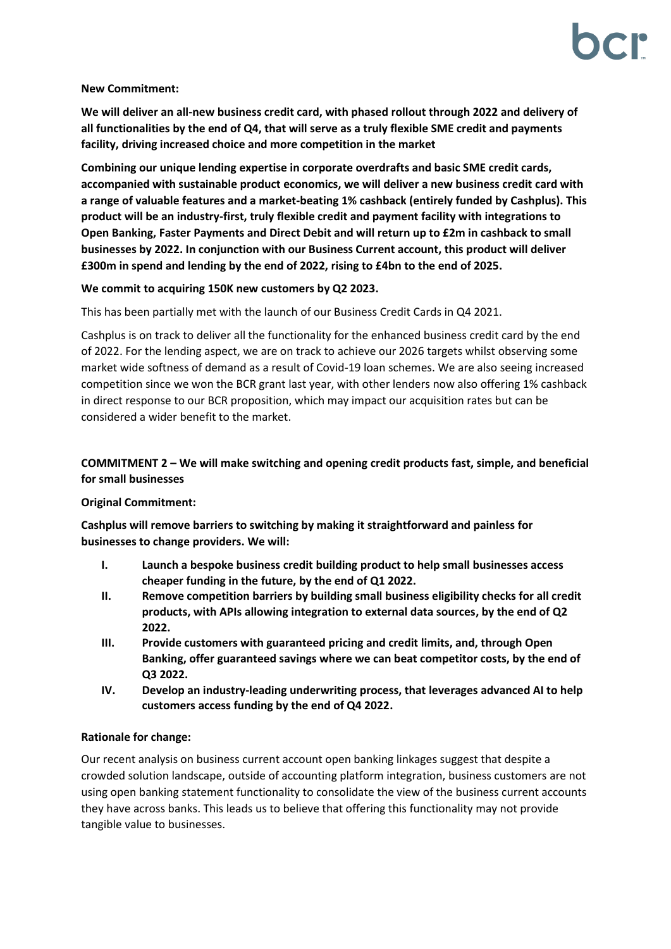#### **New Commitment:**

**We will deliver an all-new business credit card, with phased rollout through 2022 and delivery of all functionalities by the end of Q4, that will serve as a truly flexible SME credit and payments facility, driving increased choice and more competition in the market** 

**Combining our unique lending expertise in corporate overdrafts and basic SME credit cards, accompanied with sustainable product economics, we will deliver a new business credit card with a range of valuable features and a market-beating 1% cashback (entirely funded by Cashplus). This product will be an industry-first, truly flexible credit and payment facility with integrations to Open Banking, Faster Payments and Direct Debit and will return up to £2m in cashback to small businesses by 2022. In conjunction with our Business Current account, this product will deliver £300m in spend and lending by the end of 2022, rising to £4bn to the end of 2025.**

## **We commit to acquiring 150K new customers by Q2 2023.**

This has been partially met with the launch of our Business Credit Cards in Q4 2021.

Cashplus is on track to deliver all the functionality for the enhanced business credit card by the end of 2022. For the lending aspect, we are on track to achieve our 2026 targets whilst observing some market wide softness of demand as a result of Covid-19 loan schemes. We are also seeing increased competition since we won the BCR grant last year, with other lenders now also offering 1% cashback in direct response to our BCR proposition, which may impact our acquisition rates but can be considered a wider benefit to the market.

# **COMMITMENT 2 – We will make switching and opening credit products fast, simple, and beneficial for small businesses**

## **Original Commitment:**

**Cashplus will remove barriers to switching by making it straightforward and painless for businesses to change providers. We will:** 

- **I. Launch a bespoke business credit building product to help small businesses access cheaper funding in the future, by the end of Q1 2022.**
- **II. Remove competition barriers by building small business eligibility checks for all credit products, with APIs allowing integration to external data sources, by the end of Q2 2022.**
- **III. Provide customers with guaranteed pricing and credit limits, and, through Open Banking, offer guaranteed savings where we can beat competitor costs, by the end of Q3 2022.**
- **IV. Develop an industry-leading underwriting process, that leverages advanced AI to help customers access funding by the end of Q4 2022.**

## **Rationale for change:**

Our recent analysis on business current account open banking linkages suggest that despite a crowded solution landscape, outside of accounting platform integration, business customers are not using open banking statement functionality to consolidate the view of the business current accounts they have across banks. This leads us to believe that offering this functionality may not provide tangible value to businesses.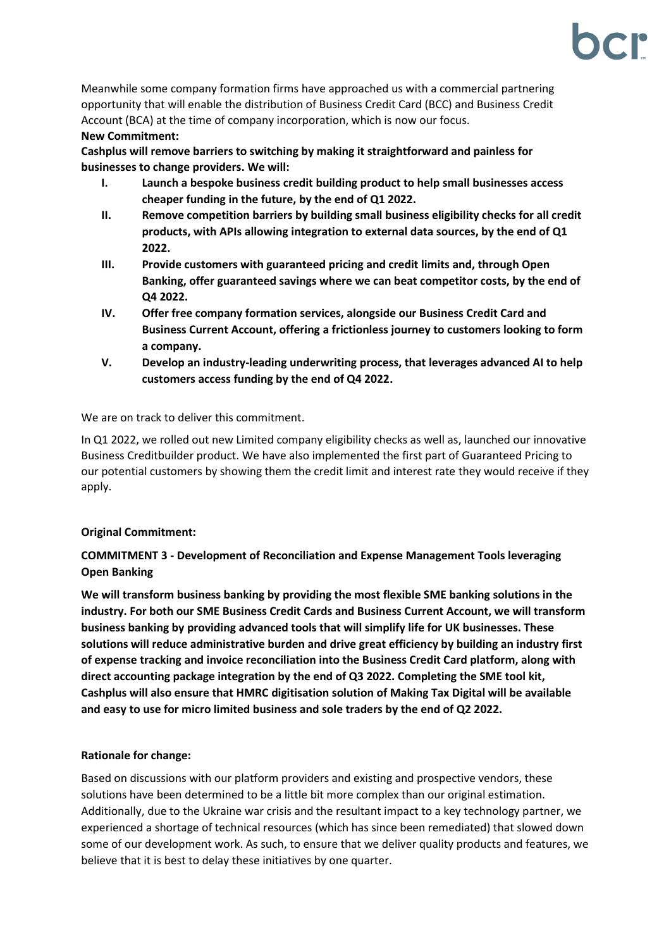Meanwhile some company formation firms have approached us with a commercial partnering opportunity that will enable the distribution of Business Credit Card (BCC) and Business Credit Account (BCA) at the time of company incorporation, which is now our focus.

## **New Commitment:**

**Cashplus will remove barriers to switching by making it straightforward and painless for businesses to change providers. We will:** 

- **I. Launch a bespoke business credit building product to help small businesses access cheaper funding in the future, by the end of Q1 2022.**
- **II. Remove competition barriers by building small business eligibility checks for all credit products, with APIs allowing integration to external data sources, by the end of Q1 2022.**
- **III. Provide customers with guaranteed pricing and credit limits and, through Open Banking, offer guaranteed savings where we can beat competitor costs, by the end of Q4 2022.**
- **IV. Offer free company formation services, alongside our Business Credit Card and Business Current Account, offering a frictionless journey to customers looking to form a company.**
- **V. Develop an industry-leading underwriting process, that leverages advanced AI to help customers access funding by the end of Q4 2022.**

We are on track to deliver this commitment.

In Q1 2022, we rolled out new Limited company eligibility checks as well as, launched our innovative Business Creditbuilder product. We have also implemented the first part of Guaranteed Pricing to our potential customers by showing them the credit limit and interest rate they would receive if they apply.

# **Original Commitment:**

# **COMMITMENT 3 - Development of Reconciliation and Expense Management Tools leveraging Open Banking**

**We will transform business banking by providing the most flexible SME banking solutions in the industry. For both our SME Business Credit Cards and Business Current Account, we will transform business banking by providing advanced tools that will simplify life for UK businesses. These solutions will reduce administrative burden and drive great efficiency by building an industry first of expense tracking and invoice reconciliation into the Business Credit Card platform, along with direct accounting package integration by the end of Q3 2022. Completing the SME tool kit, Cashplus will also ensure that HMRC digitisation solution of Making Tax Digital will be available and easy to use for micro limited business and sole traders by the end of Q2 2022.** 

# **Rationale for change:**

Based on discussions with our platform providers and existing and prospective vendors, these solutions have been determined to be a little bit more complex than our original estimation. Additionally, due to the Ukraine war crisis and the resultant impact to a key technology partner, we experienced a shortage of technical resources (which has since been remediated) that slowed down some of our development work. As such, to ensure that we deliver quality products and features, we believe that it is best to delay these initiatives by one quarter.